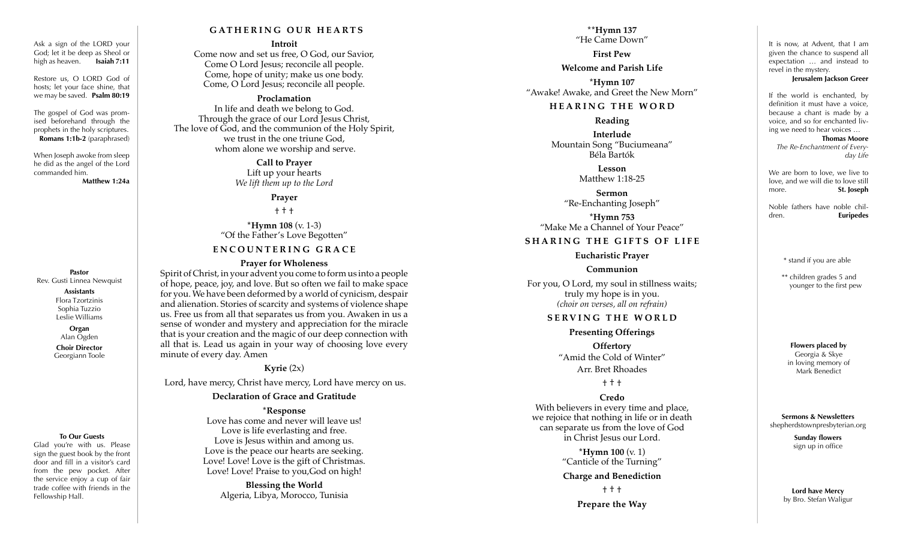Ask a sign of the LORD your God; let it be deep as Sheol or high as heaven. **Isaiah 7:11**

Restore us, O LORD God of hosts; let your face shine, that we may be saved. **Psalm 80:19**

The gospel of God was prom ised beforehand through the prophets in the holy scriptures. **Romans 1:1b-2** (paraphrased)

When Joseph awoke from sleep he did as the angel of the Lord commanded him.

**Matthew 1:24a**

**Pastor** Rev. Gusti Linnea Newquist

> **Assistants** Flora Tzortzinis Sophia Tuzzio Leslie Williams

**Organ** Alan Ogden **Choir Director** Georgiann Toole

#### **To Our Guests**

Glad you're with us. Please sign the guest book by the front door and fill in a visitor's card from the pew pocket. After the service enjoy a cup of fair trade coffee with friends in the Fellowship Hall.

#### **G AT H E R I N G O U R H E A R T S**

#### **Introit**

Come now and set us free, O God, our Savior, Come O Lord Jesus; reconcile all people. Come, hope of unity; make us one body. Come, O Lord Jesus; reconcile all people.

#### **Proclamation**

In life and death we belong to God. Through the grace of our Lord Jesus Christ, The love of God, and the communion of the Holy Spirit, we trust in the one triune God, whom alone we worship and serve.

> **Call to Prayer** Lift up your hearts *We lift them up to the Lord*

#### **Prayer**

† † †

**\*Hymn 108** (v. 1-3) "Of the Father's Love Begotten"

# **ENCOUNTERING GRACE**

#### **Prayer for Wholeness**

Spirit of Christ, in your advent you come to form us into a people of hope, peace, joy, and love. But so often we fail to make space for you. We have been deformed by a world of cynicism, despair and alienation. Stories of scarcity and systems of violence shape us. Free us from all that separates us from you. Awaken in us a sense of wonder and mystery and appreciation for the miracle that is your creation and the magic of our deep connection with all that is. Lead us again in your way of choosing love every minute of every day. Amen

#### **Kyrie** (2x)

Lord, have mercy, Christ have mercy, Lord have mercy on us.

#### **Declaration of Grace and Gratitude**

#### **\*Response**

Love has come and never will leave us! Love is life everlasting and free. Love is Jesus within and among us. Love is the peace our hearts are seeking. Love! Love! Love is the gift of Christmas. Love! Love! Praise to you,God on high!

> **Blessing the World** Algeria, Libya, Morocco, Tunisia

**\*\*Hymn 137** "He Came Down" **First Pew**

**Welcome and Parish Life**

**\*Hymn 107**  "Awake! Awake, and Greet the New Morn"

#### **HEARING THE WORD**

#### **Reading**

**Interlude** Mountain Song "Buciumeana" Béla Bartók

> **Lesson** Matthew 1:18-25

**Sermon** "Re-Enchanting Joseph"

**\*Hymn 753**  "Make Me a Channel of Your Peace"

### **SHARING THE GIFTS OF LIFE**

### **Eucharistic Prayer**

### **Communion**

For you, O Lord, my soul in stillness waits; truly my hope is in you. *(choir on verses, all on refrain)*

### **SERVING THE WORLD**

**Presenting Offerings**

**Offertory** "Amid the Cold of Winter" Arr. Bret Rhoades

† † †

# **Credo**

With believers in every time and place, we rejoice that nothing in life or in death can separate us from the love of God in Christ Jesus our Lord.

> **\*Hymn 100** (v. 1) "Canticle of the Turning"

#### **Charge and Benediction**

† † †

**Prepare the Way**

It is now, at Advent, that I am given the chance to suspend all expectation … and instead to revel in the mystery.

#### **Jerusalem Jackson Greer**

If the world is enchanted, by definition it must have a voice, because a chant is made by a voice, and so for enchanted liv ing we need to hear voices …

**Thomas Moore** *The Re-Enchantment of Every day Life*

We are born to love, we live to love, and we will die to love still more. **St. Joseph** 

Noble fathers have noble chil dren. **Euripedes**

\* stand if you are able

\*\* children grades 5 and younger to the first pew

**Flowers placed by** Georgia & Skye in loving memory of Mark Benedict

**Sermons & Newsletters** shepherdstownpresbyterian.org

> **Sunday flowers** sign up in office

**Lord have Mercy**  by Bro. Stefan Waligur